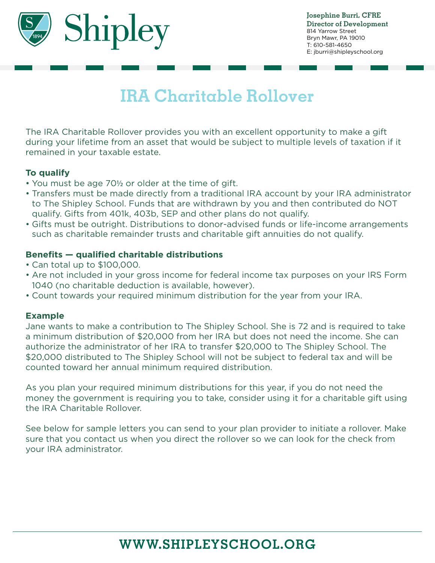

# **IRA Charitable Rollover**

The IRA Charitable Rollover provides you with an excellent opportunity to make a gift during your lifetime from an asset that would be subject to multiple levels of taxation if it remained in your taxable estate.

#### **To qualify**

- You must be age 70½ or older at the time of gift.
- Transfers must be made directly from a traditional IRA account by your IRA administrator to The Shipley School. Funds that are withdrawn by you and then contributed do NOT qualify. Gifts from 401k, 403b, SEP and other plans do not qualify.
- Gifts must be outright. Distributions to donor-advised funds or life-income arrangements such as charitable remainder trusts and charitable gift annuities do not qualify.

#### **Benefits — qualified charitable distributions**

- Can total up to \$100,000.
- Are not included in your gross income for federal income tax purposes on your IRS Form 1040 (no charitable deduction is available, however).
- Count towards your required minimum distribution for the year from your IRA.

#### **Example**

Jane wants to make a contribution to The Shipley School. She is 72 and is required to take a minimum distribution of \$20,000 from her IRA but does not need the income. She can authorize the administrator of her IRA to transfer \$20,000 to The Shipley School. The \$20,000 distributed to The Shipley School will not be subject to federal tax and will be counted toward her annual minimum required distribution.

As you plan your required minimum distributions for this year, if you do not need the money the government is requiring you to take, consider using it for a charitable gift using the IRA Charitable Rollover.

See below for sample letters you can send to your plan provider to initiate a rollover. Make sure that you contact us when you direct the rollover so we can look for the check from your IRA administrator.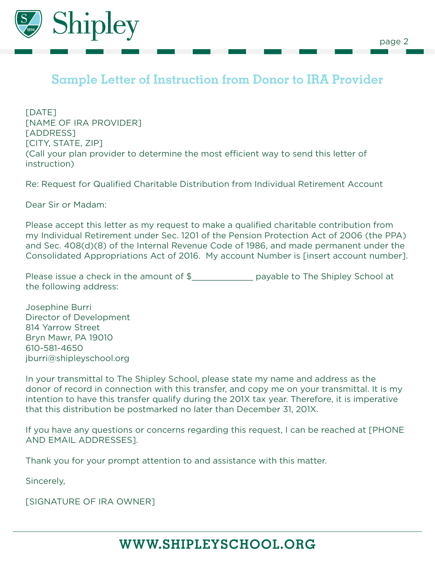

## **Sample Letter of Instruction from Donor to IRA Provider**

[DATE] [NAME OF IRA PROVIDER] [ADDRESS] [CITY, STATE, ZIP] (Call your plan provider to determine the most efficient way to send this letter of instruction)

Re: Request for Qualified Charitable Distribution from Individual Retirement Account

Dear Sir or Madam:

Please accept this letter as my request to make a qualified charitable contribution from my Individual Retirement under Sec. 1201 of the Pension Protection Act of 2006 (the PPA) and Sec. 408(d)(8) of the Internal Revenue Code of 1986, and made permanent under the Consolidated Appropriations Act of 2016. My account Number is [insert account number].

Please issue a check in the amount of \$\_\_\_\_\_\_\_\_\_\_\_\_\_\_\_ payable to The Shipley School at the following address:

Josephine Burri Director of Development 814 Yarrow Street Bryn Mawr, PA 19010 610-581-4650 jburri@shipleyschool.org

In your transmittal to The Shipley School, please state my name and address as the donor of record in connection with this transfer, and copy me on your transmittal. It is my intention to have this transfer qualify during the 201X tax year. Therefore, it is imperative that this distribution be postmarked no later than December 31, 201X.

WWW.SHIPLEYSCHOOL.COM If you have any questions or concerns regarding this request, I can be reached at [PHONE AND EMAIL ADDRESSES].

Thank you for your prompt attention to and assistance with this matter.

Sincerely,

[SIGNATURE OF IRA OWNER]

# **WWW.SHIPLEYSCHOOL.ORG**

WWW.SHIPLEYSCHOOL.ORG